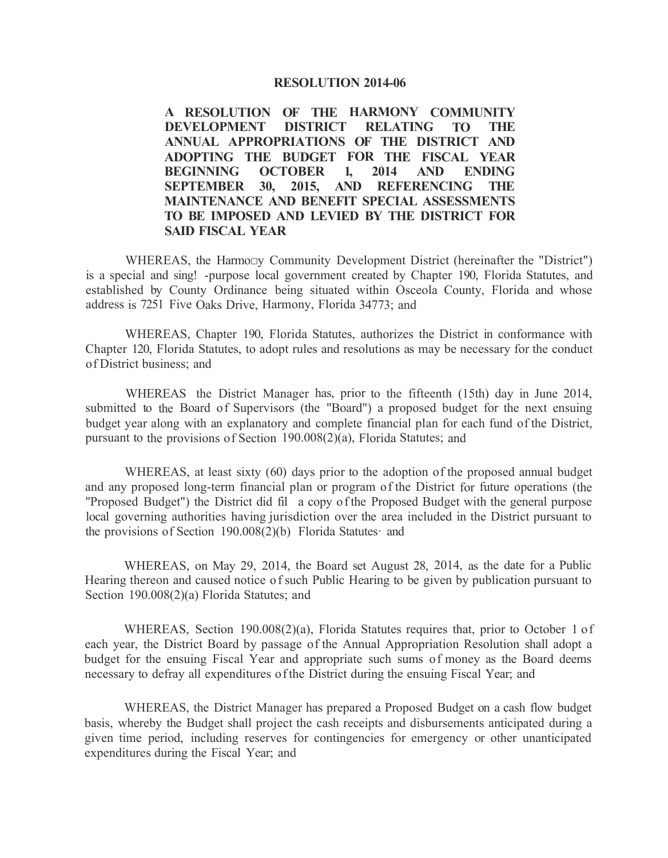#### **RESOLUTION 2014-06**

**A RESOLUTION OF THE HARMONY COMMUNITY DEVELOPMENT DISTRICT RELATING TO THE ANNUAL APPROPRIATIONS OF THE DISTRICT AND ADOPTING THE BUDGET FOR THE FISCAL YEAR BEGINNING OCTOBER 1, 2014 AND ENDING SEPTEMBER 30, 2015, AND REFERENCING THE MAINTENANCE AND BENEFIT SPECIAL ASSESSMENTS TO BE IMPOSED AND LEVIED BY THE DISTRICT FOR SAID FISCAL YEAR** 

WHEREAS, the Harmo□y Community Development District (hereinafter the "District") is a special and sing! -purpose local government created by Chapter 190, Florida Statutes, and established by County Ordinance being situated within Osceola County, Florida and whose address is 7251 Five Oaks Drive, Harmony, Florida 34773; and

WHEREAS, Chapter 190, Florida Statutes, authorizes the District in conformance with Chapter 120, Florida Statutes, to adopt rules and resolutions as may be necessary for the conduct of District business; and

WHEREAS the District Manager has, prior to the fifteenth (15th) day in June 2014, submitted to the Board of Supervisors (the "Board") a proposed budget for the next ensuing budget year along with an explanatory and complete financial plan for each fund of the District, pursuant to the provisions of Section 190.008(2)(a), Florida Statutes; and

WHEREAS, at least sixty (60) days prior to the adoption of the proposed annual budget and any proposed long-term financial plan or program of the District for future operations (the ''Proposed Budget") the District did fil a copy of the Proposed Budget with the general purpose local governing authorities having jurisdiction over the area included in the District pursuant to the provisions of Section 190.008(2)(b) Florida Statutes· and

WHEREAS, on May 29, 2014, the Board set August 28, 2014, as the date for a Public Hearing thereon and caused notice of such Public Hearing to be given by publication pursuant to Section 190.008(2)(a) Florida Statutes; and

WHEREAS, Section 190.008(2)(a), Florida Statutes requires that, prior to October 1 of each year, the District Board by passage of the Annual Appropriation Resolution shall adopt a budget for the ensuing Fiscal Year and appropriate such sums of money as the Board deems necessary to defray all expenditures of the District during the ensuing Fiscal Year; and

WHEREAS, the District Manager has prepared a Proposed Budget on a cash flow budget basis, whereby the Budget shall project the cash receipts and disbursements anticipated during a given time period, including reserves for contingencies for emergency or other unanticipated expenditures during the Fiscal Year; and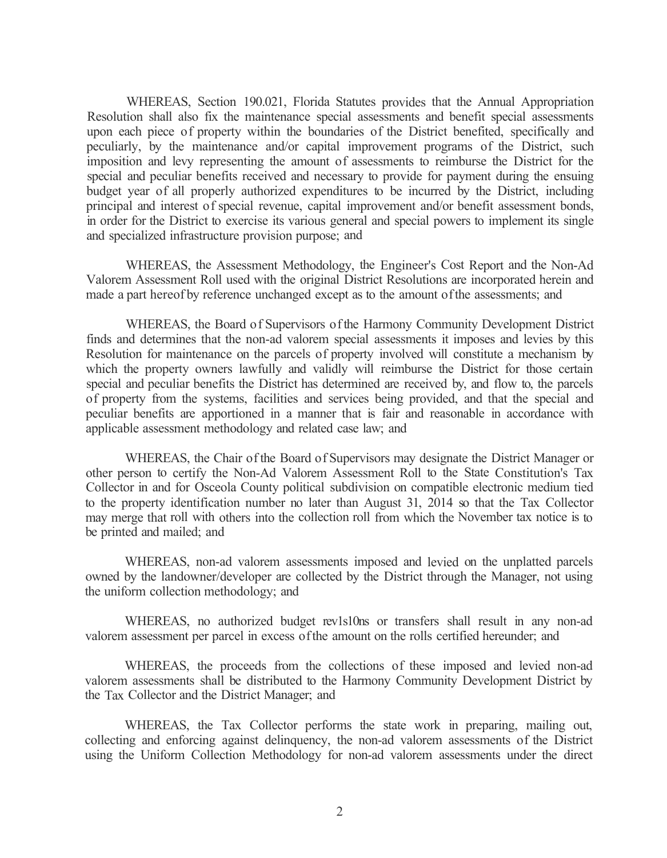WHEREAS, Section 190.021, Florida Statutes provides that the Annual Appropriation Resolution shall also fix the maintenance special assessments and benefit special assessments upon each piece of property within the boundaries of the District benefited, specifically and peculiarly, by the maintenance and/or capital improvement programs of the District, such imposition and levy representing the amount of assessments to reimburse the District for the special and peculiar benefits received and necessary to provide for payment during the ensuing budget year of all properly authorized expenditures to be incurred by the District, including principal and interest of special revenue, capital improvement and/or benefit assessment bonds, in order for the District to exercise its various general and special powers to implement its single and specialized infrastructure provision purpose; and

WHEREAS, the Assessment Methodology, the Engineer's Cost Report and the Non-Ad Valorem Assessment Roll used with the original District Resolutions are incorporated herein and made a part hereof by reference unchanged except as to the amount of the assessments; and

WHEREAS, the Board of Supervisors of the Harmony Community Development District finds and determines that the non-ad valorem special assessments it imposes and levies by this Resolution for maintenance on the parcels of property involved will constitute a mechanism by which the property owners lawfully and validly will reimburse the District for those certain special and peculiar benefits the District has determined are received by, and flow to, the parcels of property from the systems, facilities and services being provided, and that the special and peculiar benefits are apportioned in a manner that is fair and reasonable in accordance with applicable assessment methodology and related case law; and

WHEREAS, the Chair of the Board of Supervisors may designate the District Manager or other person to certify the Non-Ad Valorem Assessment Roll to the State Constitution's Tax Collector in and for Osceola County political subdivision on compatible electronic medium tied to the property identification number no later than August 31, 2014 so that the Tax Collector may merge that roll with others into the collection roll from which the November tax notice is to be printed and mailed; and

WHEREAS, non-ad valorem assessments imposed and levied on the unplatted parcels owned by the landowner/developer are collected by the District through the Manager, not using the uniform collection methodology; and

WHEREAS, no authorized budget rev1s10ns or transfers shall result in any non-ad valorem assessment per parcel in excess of the amount on the rolls certified hereunder; and

WHEREAS, the proceeds from the collections of these imposed and levied non-ad valorem assessments shall be distributed to the Harmony Community Development District by the Tax Collector and the District Manager; and

WHEREAS, the Tax Collector performs the state work in preparing, mailing out, collecting and enforcing against delinquency, the non-ad valorem assessments of the District using the Uniform Collection Methodology for non-ad valorem assessments under the direct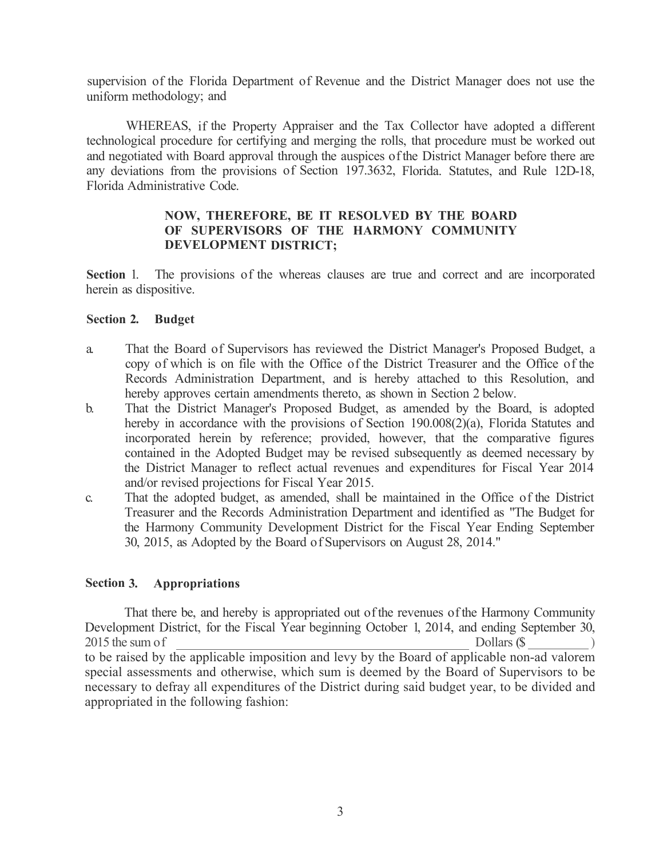supervision of the Florida Department of Revenue and the District Manager does not use the uniform methodology; and

WHEREAS, if the Property Appraiser and the Tax Collector have adopted a different technological procedure for certifying and merging the rolls, that procedure must be worked out and negotiated with Board approval through the auspices of the District Manager before there are any deviations from the provisions of Section 197.3632, Florida. Statutes, and Rule 12D-18, Florida Administrative Code.

## **NOW, THEREFORE, BE IT RESOLVED BY THE BOARD OF SUPERVISORS OF THE HARMONY COMMUNITY DEVELOPMENT DISTRICT;**

**Section** 1. The provisions of the whereas clauses are true and correct and are incorporated herein as dispositive.

## **Section 2. Budget**

- a. That the Board of Supervisors has reviewed the District Manager's Proposed Budget, a copy of which is on file with the Office of the District Treasurer and the Office of the Records Administration Department, and is hereby attached to this Resolution, and hereby approves certain amendments thereto, as shown in Section 2 below.
- b. That the District Manager's Proposed Budget, as amended by the Board, is adopted hereby in accordance with the provisions of Section 190.008(2)(a), Florida Statutes and incorporated herein by reference; provided, however, that the comparative figures contained in the Adopted Budget may be revised subsequently as deemed necessary by the District Manager to reflect actual revenues and expenditures for Fiscal Year 2014 and/or revised projections for Fiscal Year 2015.
- c. That the adopted budget, as amended, shall be maintained in the Office of the District Treasurer and the Records Administration Department and identified as "The Budget for the Harmony Community Development District for the Fiscal Year Ending September 30, 2015, as Adopted by the Board of Supervisors on August 28, 2014."

# **Section 3. Appropriations**

That there be, and hereby is appropriated out of the revenues of the Harmony Community Development District, for the Fiscal Year beginning October 1, 2014, and ending September 30, 2015 the sum of Dollars (\$ ) to be raised by the applicable imposition and levy by the Board of applicable non-ad valorem special assessments and otherwise, which sum is deemed by the Board of Supervisors to be necessary to defray all expenditures of the District during said budget year, to be divided and appropriated in the following fashion: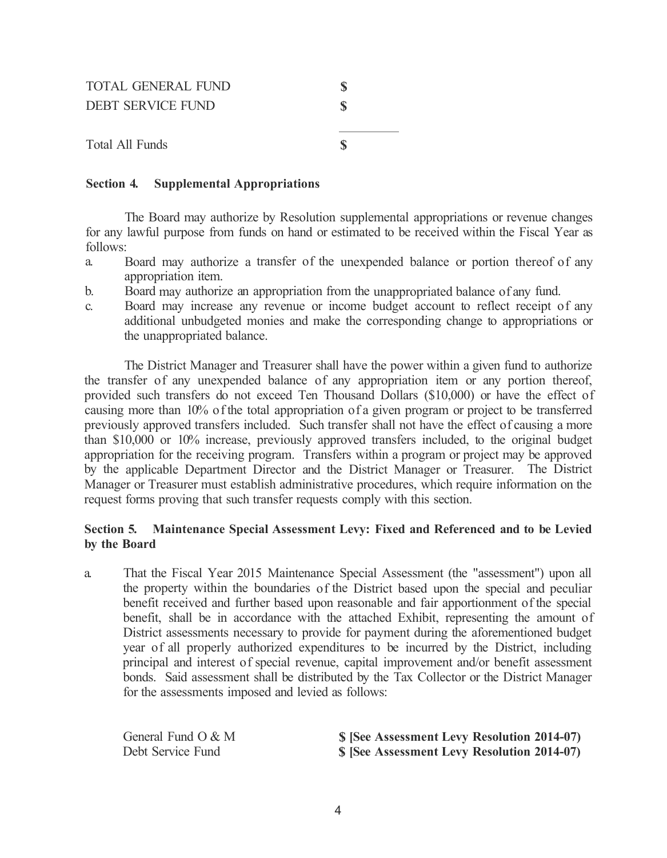| <b>TOTAL GENERAL FUND</b><br><b>DEBT SERVICE FUND</b> |  |
|-------------------------------------------------------|--|
| Total All Funds                                       |  |

#### **Section 4. Supplemental Appropriations**

The Board may authorize by Resolution supplemental appropriations or revenue changes for any lawful purpose from funds on hand or estimated to be received within the Fiscal Year as follows:

- a. Board may authorize a transfer of the unexpended balance or portion thereof of any appropriation item.
- b. Board may authorize an appropriation from the unappropriated balance of any fund.
- c. Board may increase any revenue or income budget account to reflect receipt of any additional unbudgeted monies and make the corresponding change to appropriations or the unappropriated balance.

The District Manager and Treasurer shall have the power within a given fund to authorize the transfer of any unexpended balance of any appropriation item or any portion thereof, provided such transfers do not exceed Ten Thousand Dollars (\$10,000) or have the effect of causing more than 10% of the total appropriation of a given program or project to be transferred previously approved transfers included. Such transfer shall not have the effect of causing a more than \$10,000 or 10% increase, previously approved transfers included, to the original budget appropriation for the receiving program. Transfers within a program or project may be approved by the applicable Department Director and the District Manager or Treasurer. The District Manager or Treasurer must establish administrative procedures, which require information on the request forms proving that such transfer requests comply with this section.

# **Section 5. Maintenance Special Assessment Levy: Fixed and Referenced and to be Levied by the Board**

a. That the Fiscal Year 2015 Maintenance Special Assessment (the "assessment") upon all the property within the boundaries of the District based upon the special and peculiar benefit received and further based upon reasonable and fair apportionment of the special benefit, shall be in accordance with the attached Exhibit, representing the amount of District assessments necessary to provide for payment during the aforementioned budget year of all properly authorized expenditures to be incurred by the District, including principal and interest of special revenue, capital improvement and/or benefit assessment bonds. Said assessment shall be distributed by the Tax Collector or the District Manager for the assessments imposed and levied as follows:

| General Fund $O & M$ | \$ [See Assessment Levy Resolution 2014-07) |
|----------------------|---------------------------------------------|
| Debt Service Fund    | S [See Assessment Levy Resolution 2014-07)  |